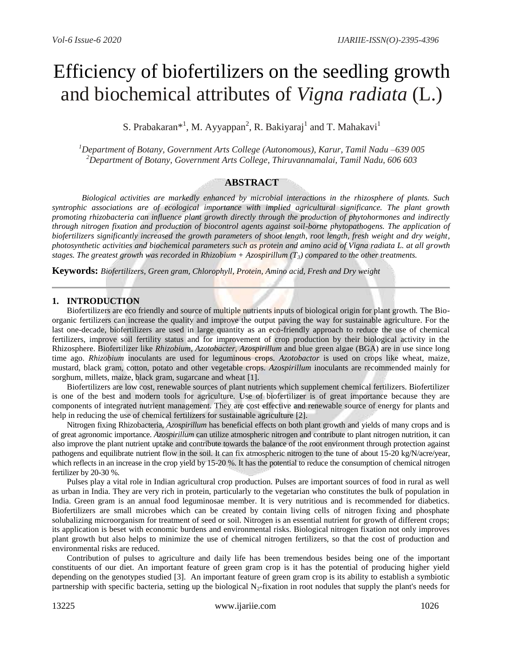# Efficiency of biofertilizers on the seedling growth and biochemical attributes of *Vigna radiata* (L.)

S. Prabakaran\*<sup>1</sup>, M. Ayyappan<sup>2</sup>, R. Bakiyaraj<sup>1</sup> and T. Mahakavi<sup>1</sup>

*<sup>1</sup>Department of Botany, Government Arts College (Autonomous), Karur, Tamil Nadu –639 005 <sup>2</sup>Department of Botany, Government Arts College, Thiruvannamalai, Tamil Nadu, 606 603*

### **ABSTRACT**

*Biological activities are markedly enhanced by microbial interactions in the rhizosphere of plants. Such syntrophic associations are of ecological importance with implied agricultural significance. The plant growth promoting rhizobacteria can influence plant growth directly through the production of phytohormones and indirectly through nitrogen fixation and production of biocontrol agents against soil-borne phytopathogens. The application of biofertilizers significantly increased the growth parameters of shoot length, root length, fresh weight and dry weight, photosynthetic activities and biochemical parameters such as protein and amino acid of Vigna radiata L. at all growth stages. The greatest growth was recorded in Rhizobium + Azospirillum (T3) compared to the other treatments.*

**Keywords:** *Biofertilizers, Green gram, Chlorophyll, Protein, Amino acid, Fresh and Dry weight*

#### **1. INTRODUCTION**

Biofertilizers are eco friendly and source of multiple nutrients inputs of biological origin for plant growth. The Bioorganic fertilizers can increase the quality and improve the output paving the way for sustainable agriculture. For the last one-decade, biofertilizers are used in large quantity as an eco-friendly approach to reduce the use of chemical fertilizers, improve soil fertility status and for improvement of crop production by their biological activity in the Rhizosphere. Biofertilizer like *Rhizobium*, *Azotobacter*, *Azospirillum* and blue green algae (BGA) are in use since long time ago. *Rhizobium* inoculants are used for leguminous crops. *Azotobactor* is used on crops like wheat, maize, mustard, black gram, cotton, potato and other vegetable crops. *Azospirillum* inoculants are recommended mainly for sorghum, millets, maize, black gram, sugarcane and wheat [1].

Biofertilizers are low cost, renewable sources of plant nutrients which supplement chemical fertilizers. Biofertilizer is one of the best and modern tools for agriculture. Use of biofertilizer is of great importance because they are components of integrated nutrient management. They are cost effective and renewable source of energy for plants and help in reducing the use of chemical fertilizers for sustainable agriculture [2].

Nitrogen fixing Rhizobacteria, *Azospirillum* has beneficial effects on both plant growth and yields of many crops and is of great agronomic importance. *Azospirillum* can utilize atmospheric nitrogen and contribute to plant nitrogen nutrition, it can also improve the plant nutrient uptake and contribute towards the balance of the root environment through protection against pathogens and equilibrate nutrient flow in the soil. It can fix atmospheric nitrogen to the tune of about 15-20 kg/N/acre/year, which reflects in an increase in the crop yield by 15-20 %. It has the potential to reduce the consumption of chemical nitrogen fertilizer by 20-30 %.

Pulses play a vital role in Indian agricultural crop production. Pulses are important sources of food in rural as well as urban in India. They are very rich in protein, particularly to the vegetarian who constitutes the bulk of population in India. Green gram is an annual food leguminosae member. It is very nutritious and is recommended for diabetics. Biofertilizers are small microbes which can be created by contain living cells of nitrogen fixing and phosphate solubalizing microorganism for treatment of seed or soil. Nitrogen is an essential nutrient for growth of different crops; its application is beset with economic burdens and environmental risks. Biological nitrogen fixation not only improves plant growth but also helps to minimize the use of chemical nitrogen fertilizers, so that the cost of production and environmental risks are reduced.

Contribution of pulses to agriculture and daily life has been tremendous besides being one of the important constituents of our diet. An important feature of green gram crop is it has the potential of producing higher yield depending on the genotypes studied [3]. An important feature of green gram crop is its ability to establish a symbiotic partnership with specific bacteria, setting up the biological  $N_2$ -fixation in root nodules that supply the plant's needs for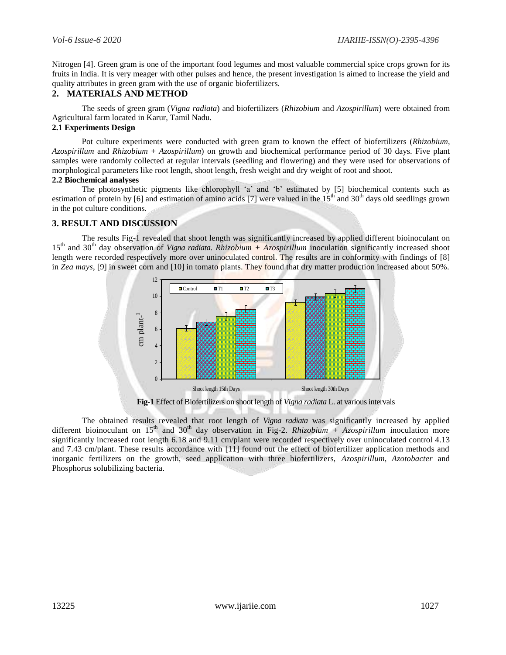Nitrogen [4]. Green gram is one of the important food legumes and most valuable commercial spice crops grown for its fruits in India. It is very meager with other pulses and hence, the present investigation is aimed to increase the yield and quality attributes in green gram with the use of organic biofertilizers.

## **2. MATERIALS AND METHOD**

The seeds of green gram (*Vigna radiata*) and biofertilizers (*Rhizobium* and *Azospirillum*) were obtained from Agricultural farm located in Karur, Tamil Nadu.

### **2.1 Experiments Design**

Pot culture experiments were conducted with green gram to known the effect of biofertilizers (*Rhizobium*, *Azospirillum* and *Rhizobium* + *Azospirillum*) on growth and biochemical performance period of 30 days. Five plant samples were randomly collected at regular intervals (seedling and flowering) and they were used for observations of morphological parameters like root length, shoot length, fresh weight and dry weight of root and shoot.

#### **2.2 Biochemical analyses**

The photosynthetic pigments like chlorophyll 'a' and 'b' estimated by [5] biochemical contents such as estimation of protein by [6] and estimation of amino acids [7] were valued in the  $15<sup>th</sup>$  and  $30<sup>th</sup>$  days old seedlings grown in the pot culture conditions.

### **3. RESULT AND DISCUSSION**

The results Fig-1 revealed that shoot length was significantly increased by applied different bioinoculant on 15th and 30th day observation of *Vigna radiata*. *Rhizobium + Azospirillum* inoculation significantly increased shoot length were recorded respectively more over uninoculated control. The results are in conformity with findings of [8] in *Zea mays*, [9] in sweet corn and [10] in tomato plants. They found that dry matter production increased about 50%.



**Fig-1** Effect of Biofertilizers on shoot length of *Vigna radiata* L. at various intervals

The obtained results revealed that root length of *Vigna radiata* was significantly increased by applied different bioinoculant on 15<sup>th</sup> and 30<sup>th</sup> day observation in Fig-2. *Rhizobium* + Azospirillum inoculation more significantly increased root length 6.18 and 9.11 cm/plant were recorded respectively over uninoculated control 4.13 and 7.43 cm/plant. These results accordance with [11] found out the effect of biofertilizer application methods and inorganic fertilizers on the growth, seed application with three biofertilizers, *Azospirillum, Azotobacter* and Fig-1 Eff<br>
Fig-1 Eff<br>
Fig-1 Eff<br>
The obtained results re<br>
different bioinoculant on  $15^{\text{th}}$  as<br>
significantly increased root lengt<br>
and 7.43 cm/plant. These results<br>
inorganic fertilizers on the group<br>
Phosphorus solub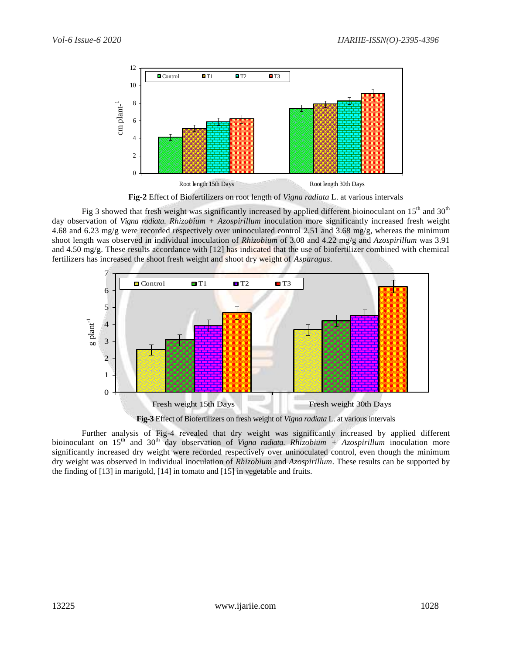

**Fig-2** Effect of Biofertilizers on root length of *Vigna radiata* L. at various intervals

Fig 3 showed that fresh weight was significantly increased by applied different bioinoculant on 15<sup>th</sup> and 30<sup>th</sup> day observation of *Vigna radiata*. *Rhizobium + Azospirillum* inoculation more significantly increased fresh weight 4.68 and 6.23 mg/g were recorded respectively over uninoculated control 2.51 and 3.68 mg/g, whereas the minimum shoot length was observed in individual inoculation of *Rhizobium* of 3.08 and 4.22 mg/g and *Azospirillum* was 3.91 and 4.50 mg/g. These results accordance with [12] has indicated that the use of biofertilizer combined with chemical fertilizers has increased the shoot fresh weight and shoot dry weight of *Asparagus*.



**Fig-3** Effect of Biofertilizers on fresh weight of *Vigna radiata* L. at various intervals

Further analysis of Fig-4 revealed that dry weight was significantly increased by applied different bioinoculant on 15<sup>th</sup> and 30<sup>th</sup> day observation of *Vigna radiata. Rhizobium* + Azospirillum inoculation more significantly increased dry weight were recorded respectively over uninoculated control, even though the minimum dry weight was observed in individual inoculation of *Rhizobium* and *Azospirillum*. These results can be supported by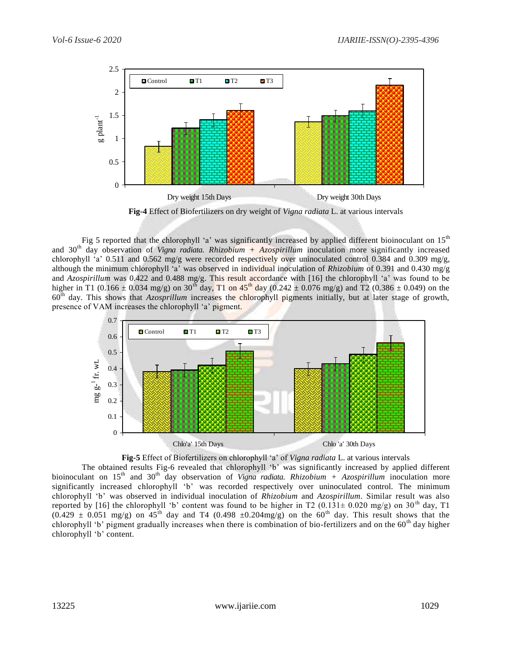

**Fig-4** Effect of Biofertilizers on dry weight of *Vigna radiata* L. at various intervals

Fig 5 reported that the chlorophyll 'a' was significantly increased by applied different bioinoculant on 15<sup>th</sup> and 30th day observation of *Vigna radiata*. *Rhizobium + Azospirillum* inoculation more significantly increased chlorophyll 'a' 0.511 and 0.562 mg/g were recorded respectively over uninoculated control 0.384 and 0.309 mg/g, although the minimum chlorophyll 'a' was observed in individual inoculation of *Rhizobium* of 0.391 and 0.430 mg/g and *Azospirillum* was 0.422 and 0.488 mg/g. This result accordance with [16] the chlorophyll 'a' was found to be higher in T1 (0.166  $\pm$  0.034 mg/g) on 30<sup>th</sup> day, T1 on 45<sup>th</sup> day (0.242  $\pm$  0.076 mg/g) and T2 (0.386  $\pm$  0.049) on the 60th day. This shows that *Azosprillum* increases the chlorophyll pigments initially, but at later stage of growth, presence of VAM increases the chlorophyll 'a' pigment.





The obtained results Fig-6 revealed that chlorophyll 'b' was significantly increased by applied different bioinoculant on 15<sup>th</sup> and 30<sup>th</sup> day observation of *Vigna radiata*. *Rhizobium* + Azospirillum inoculation more significantly increased chlorophyll 'b' was recorded respectively over uninoculated control. The minimum chlorophyll 'b' was observed in individual inoculation of *Rhizobium* and *Azospirillum*. Similar result was also reported by [16] the chlorophyll 'b' content was found to be higher in T2 (0.131 $\pm$  0.020 mg/g) on 30<sup>th</sup> day, T1  $(0.429 \pm 0.051$  mg/g) on  $45^{th}$  day and T4  $(0.498 \pm 0.204$  mg/g) on the 60<sup>th</sup> day. This result shows that the chlorophyll 'b' pigment gradually increases when there is combination of bio-fertilizers and on the  $60<sup>th</sup>$  day higher chlorophyll 'b' content.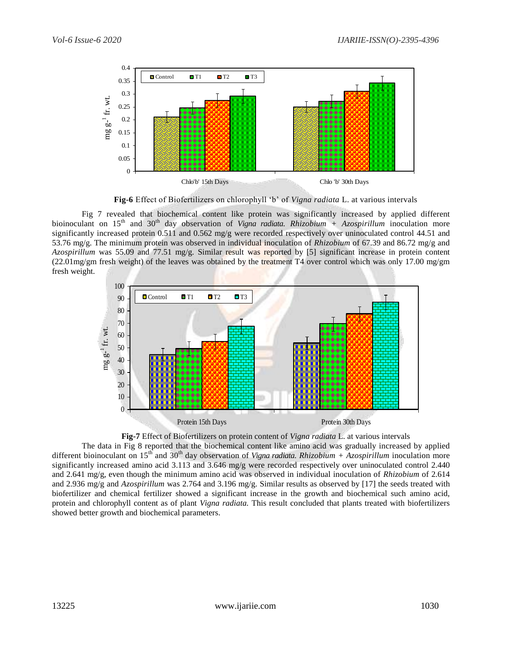

**Fig-6** Effect of Biofertilizers on chlorophyll 'b' of *Vigna radiata* L. at various intervals

Fig 7 revealed that biochemical content like protein was significantly increased by applied different bioinoculant on 15<sup>th</sup> and 30<sup>th</sup> day observation of *Vigna radiata*. *Rhizobium* + Azospirillum inoculation more significantly increased protein 0.511 and 0.562 mg/g were recorded respectively over uninoculated control 44.51 and 53.76 mg/g. The minimum protein was observed in individual inoculation of *Rhizobium* of 67.39 and 86.72 mg/g and *Azospirillum* was 55.09 and 77.51 mg/g. Similar result was reported by [5] significant increase in protein content (22.01mg/gm fresh weight) of the leaves was obtained by the treatment T4 over control which was only 17.00 mg/gm fresh weight.





The data in Fig 8 reported that the biochemical content like amino acid was gradually increased by applied different bioinoculant on 15th and 30th day observation of *Vigna radiata*. *Rhizobium + Azospirillum* inoculation more significantly increased amino acid 3.113 and 3.646 mg/g were recorded respectively over uninoculated control 2.440 and 2.641 mg/g, even though the minimum amino acid was observed in individual inoculation of *Rhizobium* of 2.614 and 2.936 mg/g and *Azospirillum* was 2.764 and 3.196 mg/g. Similar results as observed by [17] the seeds treated with biofertilizer and chemical fertilizer showed a significant increase in the growth and biochemical such amino acid, protein and chlorophyll content as of plant *Vigna radiata.* This result concluded that plants treated with biofertilizers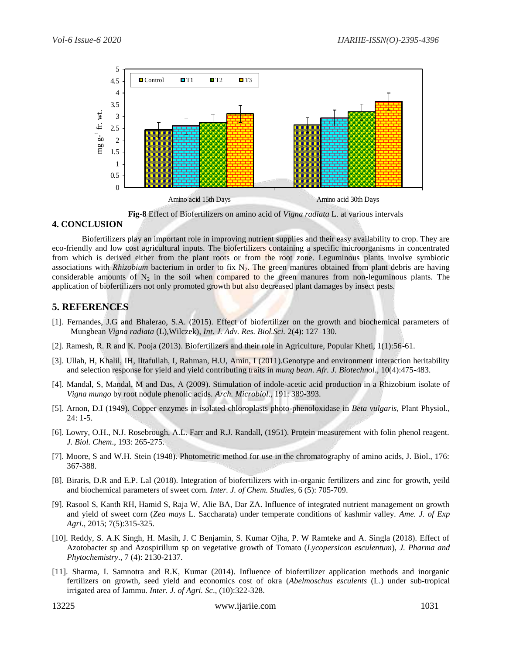

**Fig-8** Effect of Biofertilizers on amino acid of *Vigna radiata* L. at various intervals

### **4. CONCLUSION**

Biofertilizers play an important role in improving nutrient supplies and their easy availability to crop. They are eco-friendly and low cost agricultural inputs. The biofertilizers containing a specific microorganisms in concentrated from which is derived either from the plant roots or from the root zone. Leguminous plants involve symbiotic associations with *Rhizobium* bacterium in order to fix  $N_2$ . The green manures obtained from plant debris are having considerable amounts of  $N_2$  in the soil when compared to the green manures from non-leguminous plants. The application of biofertilizers not only promoted growth but also decreased plant damages by insect pests.

# **5. REFERENCES**

- [1]. Fernandes, J.G and Bhalerao, S.A. (2015). Effect of biofertilizer on the growth and biochemical parameters of Mungbean *Vigna radiata* (L),Wilczek), *Int. J. Adv. Res. Biol.Sci.* 2(4): 127–130.
- [2]. Ramesh, R. R and K. Pooja (2013). Biofertilizers and their role in Agriculture, Popular Kheti, 1(1):56-61.
- [3]. Ullah, H, Khalil, IH, Iltafullah, I, Rahman, H.U, Amin, I (2011).Genotype and environment interaction heritability and selection response for yield and yield contributing traits in *mung bean*. *Afr. J. Biotechnol*., 10(4):475-483.
- [4]. Mandal, S, Mandal, M and Das, A (2009). Stimulation of indole-acetic acid production in a Rhizobium isolate of *Vigna mungo* by root nodule phenolic acids. *Arch. Microbiol*., 191: 389-393.
- [5]. Arnon, D.I (1949). Copper enzymes in isolated chloroplasts photo-phenoloxidase in *Beta vulgaris*, Plant Physiol., 24: 1-5.
- [6]. Lowry, O.H., N.J. Rosebrough, A.L. Farr and R.J. Randall, (1951). Protein measurement with folin phenol reagent. *J. Biol. Chem*., 193: 265-275.
- [7]. Moore, S and W.H. Stein (1948). Photometric method for use in the chromatography of amino acids, J. Biol., 176: 367-388.
- [8]. Biraris, D.R and E.P. Lal (2018). Integration of biofertilizers with in-organic fertilizers and zinc for growth, yeild and biochemical parameters of sweet corn. *Inter. J. of Chem. Studies*, 6 (5): 705-709.
- [9]. Rasool S, Kanth RH, Hamid S, Raja W, Alie BA, Dar ZA. Influence of integrated nutrient management on growth and yield of sweet corn (*Zea mays* L. Saccharata) under temperate conditions of kashmir valley. *Ame. J. of Exp Agri*., 2015; 7(5):315-325.
- [10]. Reddy, S. A.K Singh, H. Masih, J. C Benjamin, S. Kumar Ojha, P. W Ramteke and A. Singla (2018). Effect of Azotobacter sp and Azospirillum sp on vegetative growth of Tomato (*Lycopersicon esculentum*), *J. Pharma and Phytochemistry*., 7 (4): 2130-2137.
- [11]. Sharma, I. Samnotra and R.K, Kumar (2014). Influence of biofertilizer application methods and inorganic fertilizers on growth, seed yield and economics cost of okra (*Abelmoschus esculents* (L.) under sub-tropical